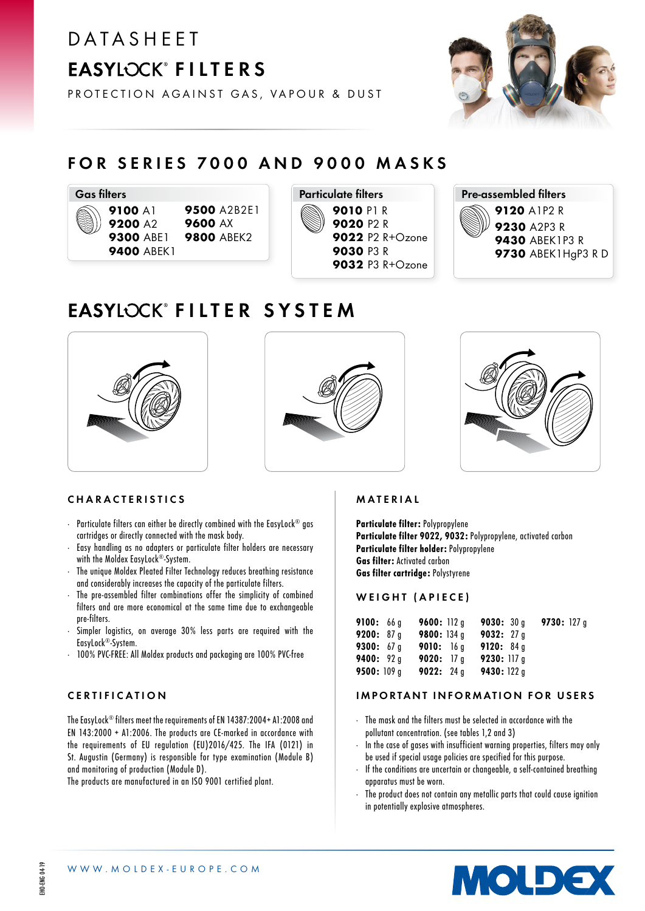# **DATASHEET** EASYLOCK<sup>®</sup> FILTERS



PROTECTION AGAINST GAS, VAPOUR & DUST

### FOR SERIES 7000 AND 9000 MASKS





Pre-assembled filters 9120 A1P2 R 9230 A2P3 R 9430 ABEK1P3 R 9730 ABEK1HgP3 R D

### EASYLOCK<sup>®</sup> FILTER SYSTEM







### CHARACTERISTICS

- · Particulate filters can either be directly combined with the EasyLock® gas cartridges or directly connected with the mask body.
- · Easy handling as no adapters or particulate filter holders are necessary with the Moldex EasyLock®-System.
- The unique Moldex Pleated Filter Technology reduces breathing resistance and considerably increases the capacity of the particulate filters.
- The pre-assembled filter combinations offer the simplicity of combined filters and are more economical at the same time due to exchangeable pre-filters.
- Simpler logistics, on average 30% less parts are required with the EasyLock®-System.
- 100% PVC-FREE: All Moldex products and packaging are 100% PVC-free

### CERTIFICATION

The FasyLock® filters meet the requirements of FN 14387:2004+ A1:2008 and EN 143:2000 + A1:2006. The products are CE-marked in accordance with the requirements of EU regulation (EU)2016/425. The IFA (0121) in St. Augustin (Germany) is responsible for type examination (Module B) and monitoring of production (Module D).

The products are manufactured in an ISO 9001 certified plant.

### MATERIAL

Particulate filter: Polypropylene Particulate filter 9022, 9032: Polypropylene, activated carbon Particulate filter holder: Polypropylene Gas filter: Activated carbon Gas filter cartridge: Polystyrene

### WEIGHT (APIECE)

| 9100: 66q         | 9600: 112q        | 9030:30a     | 9730: $127q$ |  |
|-------------------|-------------------|--------------|--------------|--|
| 9200: 87 q        | 9800: 134a        | 9032: $27q$  |              |  |
| 9300: $67q$       | 9010: 16a         | 9120: 84q    |              |  |
| <b>9400:</b> 92 q | <b>9020:</b> 17 q | 9230: 117a   |              |  |
| 9500: $109q$      | <b>9022:</b> 24 q | 9430: $122q$ |              |  |

### IMPORTANT INFORMATION FOR USERS

- · The mask and the filters must be selected in accordance with the pollutant concentration. (see tables 1,2 and 3)
- · In the case of gases with insufficient warning properties, filters may only be used if special usage policies are specified for this purpose.
- · If the conditions are uncertain or changeable, a self-contained breathing apparatus must be worn.
- The product does not contain any metallic parts that could cause ignition in potentially explosive atmospheres.